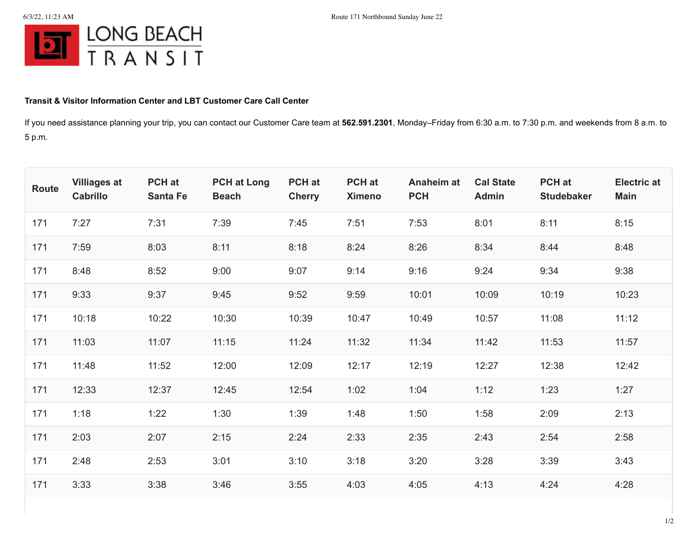

## **Transit & Visitor Information Center and LBT Customer Care Call Center**

If you need assistance planning your trip, you can contact our Customer Care team at **562.591.2301**, Monday–Friday from 6:30 a.m. to 7:30 p.m. and weekends from 8 a.m. to 5 p.m.

| Route | <b>Villiages at</b><br><b>Cabrillo</b> | PCH at<br><b>Santa Fe</b> | <b>PCH at Long</b><br><b>Beach</b> | PCH at<br><b>Cherry</b> | <b>PCH</b> at<br><b>Ximeno</b> | <b>Anaheim at</b><br><b>PCH</b> | <b>Cal State</b><br><b>Admin</b> | PCH at<br><b>Studebaker</b> | <b>Electric at</b><br><b>Main</b> |
|-------|----------------------------------------|---------------------------|------------------------------------|-------------------------|--------------------------------|---------------------------------|----------------------------------|-----------------------------|-----------------------------------|
| 171   | 7:27                                   | 7:31                      | 7:39                               | 7:45                    | 7:51                           | 7:53                            | 8:01                             | 8:11                        | 8:15                              |
| 171   | 7:59                                   | 8:03                      | 8:11                               | 8:18                    | 8:24                           | 8:26                            | 8:34                             | 8:44                        | 8:48                              |
| 171   | 8:48                                   | 8:52                      | 9:00                               | 9:07                    | 9:14                           | 9:16                            | 9:24                             | 9:34                        | 9:38                              |
| 171   | 9:33                                   | 9:37                      | 9:45                               | 9:52                    | 9:59                           | 10:01                           | 10:09                            | 10:19                       | 10:23                             |
| 171   | 10:18                                  | 10:22                     | 10:30                              | 10:39                   | 10:47                          | 10:49                           | 10:57                            | 11:08                       | 11:12                             |
| 171   | 11:03                                  | 11:07                     | 11:15                              | 11:24                   | 11:32                          | 11:34                           | 11:42                            | 11:53                       | 11:57                             |
| 171   | 11:48                                  | 11:52                     | 12:00                              | 12:09                   | 12:17                          | 12:19                           | 12:27                            | 12:38                       | 12:42                             |
| 171   | 12:33                                  | 12:37                     | 12:45                              | 12:54                   | 1:02                           | 1:04                            | 1:12                             | 1:23                        | 1:27                              |
| 171   | 1:18                                   | 1:22                      | 1:30                               | 1:39                    | 1:48                           | 1:50                            | 1:58                             | 2:09                        | 2:13                              |
| 171   | 2:03                                   | 2:07                      | 2:15                               | 2:24                    | 2:33                           | 2:35                            | 2:43                             | 2:54                        | 2:58                              |
| 171   | 2:48                                   | 2:53                      | 3:01                               | 3:10                    | 3:18                           | 3:20                            | 3:28                             | 3:39                        | 3:43                              |
| 171   | 3:33                                   | 3:38                      | 3:46                               | 3:55                    | 4:03                           | 4:05                            | 4:13                             | 4:24                        | 4:28                              |